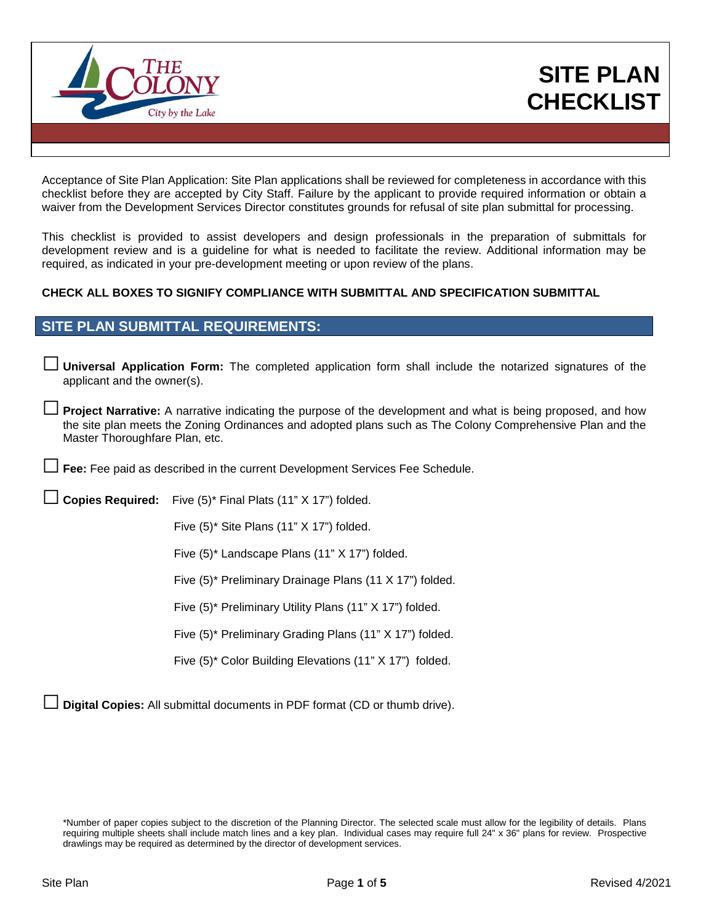

# **SITE PLAN CHECKLIST**

Acceptance of Site Plan Application: Site Plan applications shall be reviewed for completeness in accordance with this checklist before they are accepted by City Staff. Failure by the applicant to provide required information or obtain a waiver from the Development Services Director constitutes grounds for refusal of site plan submittal for processing.

This checklist is provided to assist developers and design professionals in the preparation of submittals for development review and is a guideline for what is needed to facilitate the review. Additional information may be required, as indicated in your pre-development meeting or upon review of the plans.

#### **CHECK ALL BOXES TO SIGNIFY COMPLIANCE WITH SUBMITTAL AND SPECIFICATION SUBMITTAL**

## **SITE PLAN SUBMITTAL REQUIREMENTS:**

**□ Universal Application Form:** The completed application form shall include the notarized signatures of the applicant and the owner(s).

**□ Project Narrative:** A narrative indicating the purpose of the development and what is being proposed, and how the site plan meets the Zoning Ordinances and adopted plans such as The Colony Comprehensive Plan and the Master Thoroughfare Plan, etc.

**□ Fee:** Fee paid as described in the current Development Services Fee Schedule.

**□ Copies Required:** Five (5)\* Final Plats (11" X 17") folded.

Five (5)\* Site Plans (11" X 17") folded.

Five (5)\* Landscape Plans (11" X 17") folded.

Five (5)\* Preliminary Drainage Plans (11 X 17") folded.

Five (5)\* Preliminary Utility Plans (11" X 17") folded.

Five (5)\* Preliminary Grading Plans (11" X 17") folded.

Five (5)\* Color Building Elevations (11" X 17") folded.

**□ Digital Copies:** All submittal documents in PDF format (CD or thumb drive).

<sup>\*</sup>Number of paper copies subject to the discretion of the Planning Director. The selected scale must allow for the legibility of details. Plans requiring multiple sheets shall include match lines and a key plan. Individual cases may require full 24" x 36" plans for review. Prospective drawlings may be required as determined by the director of development services.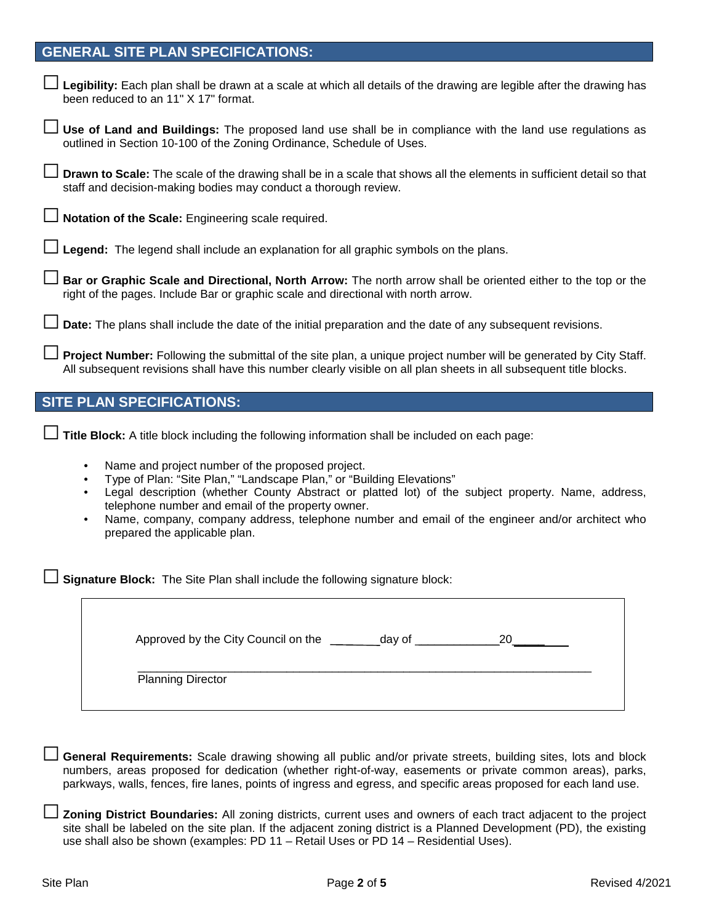#### **GENERAL SITE PLAN SPECIFICATIONS:**

| □ Legibility: Each plan shall be drawn at a scale at which all details of the drawing are legible after the drawing has<br>been reduced to an 11" X 17" format. |
|-----------------------------------------------------------------------------------------------------------------------------------------------------------------|
|-----------------------------------------------------------------------------------------------------------------------------------------------------------------|

□ **Use of Land and Buildings:** The proposed land use shall be in compliance with the land use regulations as outlined in Section 10-100 of the Zoning Ordinance, Schedule of Uses.

□ **Drawn to Scale:** The scale of the drawing shall be in a scale that shows all the elements in sufficient detail so that staff and decision-making bodies may conduct a thorough review.

□ **Notation of the Scale:** Engineering scale required.

Legend: The legend shall include an explanation for all graphic symbols on the plans.

□ **Bar or Graphic Scale and Directional, North Arrow:** The north arrow shall be oriented either to the top or the right of the pages. Include Bar or graphic scale and directional with north arrow.

□ **Date:** The plans shall include the date of the initial preparation and the date of any subsequent revisions.

Project Number: Following the submittal of the site plan, a unique project number will be generated by City Staff. All subsequent revisions shall have this number clearly visible on all plan sheets in all subsequent title blocks.

### **SITE PLAN SPECIFICATIONS:**

□ Title Block: A title block including the following information shall be included on each page:

- Name and project number of the proposed project.
- Type of Plan: "Site Plan," "Landscape Plan," or "Building Elevations"
- Legal description (whether County Abstract or platted lot) of the subject property. Name, address, telephone number and email of the property owner.
- Name, company, company address, telephone number and email of the engineer and/or architect who prepared the applicable plan.

**Signature Block:** The Site Plan shall include the following signature block:

| Approved by the City Council on the | day of | 20 |
|-------------------------------------|--------|----|
| <b>Planning Director</b>            |        |    |

□ **General Requirements:** Scale drawing showing all public and/or private streets, building sites, lots and block numbers, areas proposed for dedication (whether right-of-way, easements or private common areas), parks, parkways, walls, fences, fire lanes, points of ingress and egress, and specific areas proposed for each land use.

□ **Zoning District Boundaries:** All zoning districts, current uses and owners of each tract adjacent to the project site shall be labeled on the site plan. If the adjacent zoning district is a Planned Development (PD), the existing use shall also be shown (examples: PD 11 – Retail Uses or PD 14 – Residential Uses).

٦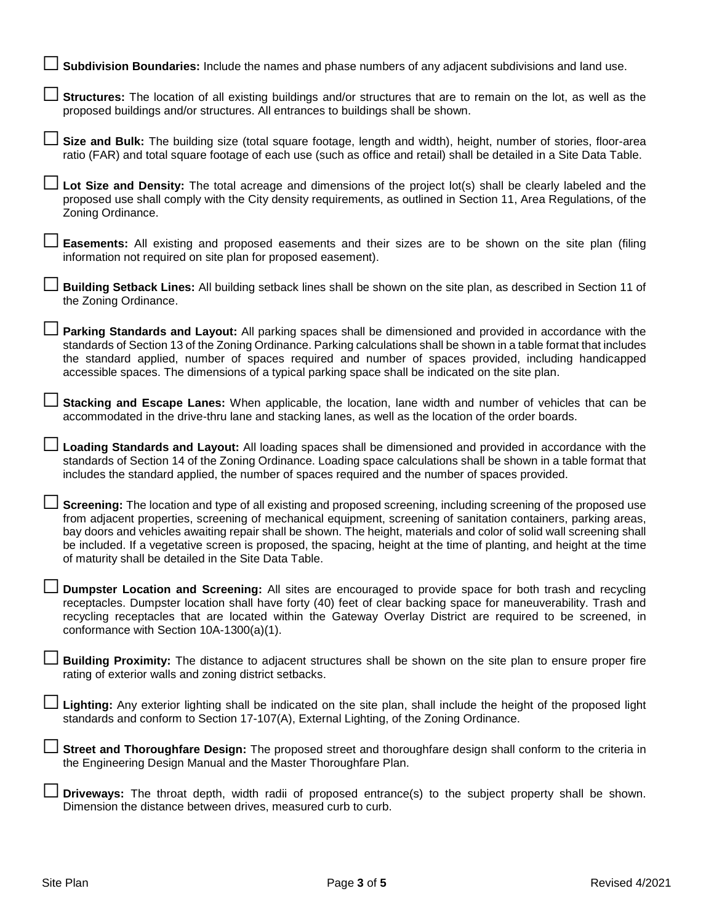| Subdivision Boundaries: Include the names and phase numbers of any adjacent subdivisions and land use.                                                                                                                                                                                                                                                                                                                                                                                                                                       |
|----------------------------------------------------------------------------------------------------------------------------------------------------------------------------------------------------------------------------------------------------------------------------------------------------------------------------------------------------------------------------------------------------------------------------------------------------------------------------------------------------------------------------------------------|
| Structures: The location of all existing buildings and/or structures that are to remain on the lot, as well as the<br>proposed buildings and/or structures. All entrances to buildings shall be shown.                                                                                                                                                                                                                                                                                                                                       |
| Size and Bulk: The building size (total square footage, length and width), height, number of stories, floor-area<br>ratio (FAR) and total square footage of each use (such as office and retail) shall be detailed in a Site Data Table.                                                                                                                                                                                                                                                                                                     |
| Lot Size and Density: The total acreage and dimensions of the project lot(s) shall be clearly labeled and the<br>proposed use shall comply with the City density requirements, as outlined in Section 11, Area Regulations, of the<br>Zoning Ordinance.                                                                                                                                                                                                                                                                                      |
| <b>Easements:</b> All existing and proposed easements and their sizes are to be shown on the site plan (filing<br>information not required on site plan for proposed easement).                                                                                                                                                                                                                                                                                                                                                              |
| Building Setback Lines: All building setback lines shall be shown on the site plan, as described in Section 11 of<br>the Zoning Ordinance.                                                                                                                                                                                                                                                                                                                                                                                                   |
| Parking Standards and Layout: All parking spaces shall be dimensioned and provided in accordance with the<br>standards of Section 13 of the Zoning Ordinance. Parking calculations shall be shown in a table format that includes<br>the standard applied, number of spaces required and number of spaces provided, including handicapped<br>accessible spaces. The dimensions of a typical parking space shall be indicated on the site plan.                                                                                               |
| Stacking and Escape Lanes: When applicable, the location, lane width and number of vehicles that can be<br>accommodated in the drive-thru lane and stacking lanes, as well as the location of the order boards.                                                                                                                                                                                                                                                                                                                              |
| Loading Standards and Layout: All loading spaces shall be dimensioned and provided in accordance with the<br>standards of Section 14 of the Zoning Ordinance. Loading space calculations shall be shown in a table format that<br>includes the standard applied, the number of spaces required and the number of spaces provided.                                                                                                                                                                                                            |
| Screening: The location and type of all existing and proposed screening, including screening of the proposed use<br>from adjacent properties, screening of mechanical equipment, screening of sanitation containers, parking areas,<br>bay doors and vehicles awaiting repair shall be shown. The height, materials and color of solid wall screening shall<br>be included. If a vegetative screen is proposed, the spacing, height at the time of planting, and height at the time<br>of maturity shall be detailed in the Site Data Table. |
| Dumpster Location and Screening: All sites are encouraged to provide space for both trash and recycling<br>receptacles. Dumpster location shall have forty (40) feet of clear backing space for maneuverability. Trash and<br>recycling receptacles that are located within the Gateway Overlay District are required to be screened, in<br>conformance with Section 10A-1300(a)(1).                                                                                                                                                         |
| <b>Building Proximity:</b> The distance to adjacent structures shall be shown on the site plan to ensure proper fire<br>rating of exterior walls and zoning district setbacks.                                                                                                                                                                                                                                                                                                                                                               |
| Lighting: Any exterior lighting shall be indicated on the site plan, shall include the height of the proposed light<br>standards and conform to Section 17-107(A), External Lighting, of the Zoning Ordinance.                                                                                                                                                                                                                                                                                                                               |
| Street and Thoroughfare Design: The proposed street and thoroughfare design shall conform to the criteria in<br>the Engineering Design Manual and the Master Thoroughfare Plan.                                                                                                                                                                                                                                                                                                                                                              |
| Driveways: The throat depth, width radii of proposed entrance(s) to the subject property shall be shown.<br>Dimension the distance between drives, measured curb to curb.                                                                                                                                                                                                                                                                                                                                                                    |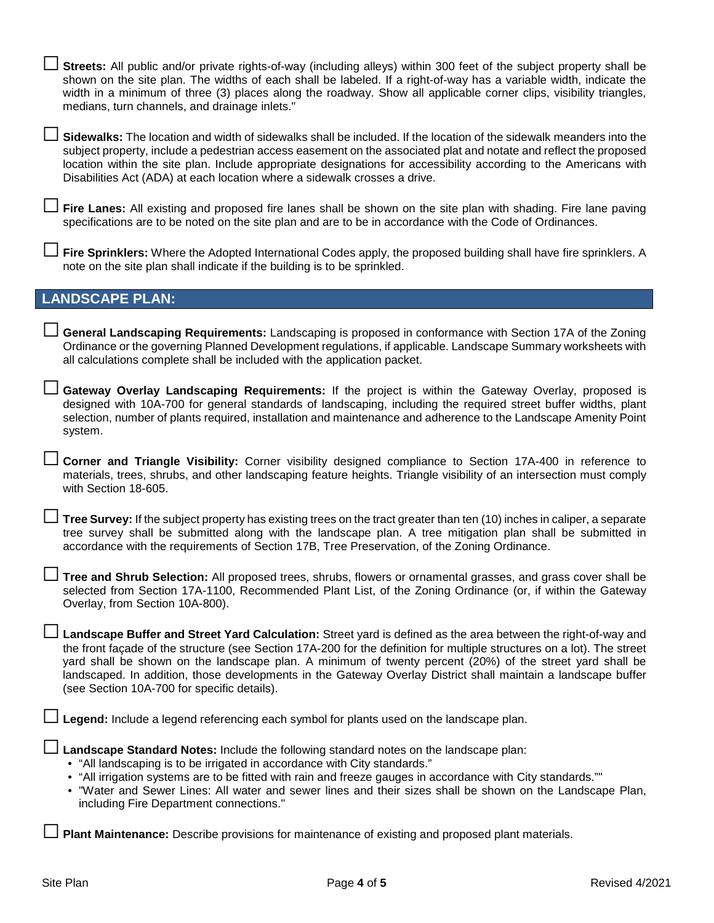Streets: All public and/or private rights-of-way (including alleys) within 300 feet of the subject property shall be shown on the site plan. The widths of each shall be labeled. If a right-of-way has a variable width, indicate the width in a minimum of three (3) places along the roadway. Show all applicable corner clips, visibility triangles, medians, turn channels, and drainage inlets."

□ **Sidewalks:** The location and width of sidewalks shall be included. If the location of the sidewalk meanders into the subject property, include a pedestrian access easement on the associated plat and notate and reflect the proposed location within the site plan. Include appropriate designations for accessibility according to the Americans with Disabilities Act (ADA) at each location where a sidewalk crosses a drive.

**Fire Lanes:** All existing and proposed fire lanes shall be shown on the site plan with shading. Fire lane paving specifications are to be noted on the site plan and are to be in accordance with the Code of Ordinances.

□ **Fire Sprinklers:** Where the Adopted International Codes apply, the proposed building shall have fire sprinklers. A note on the site plan shall indicate if the building is to be sprinkled.

#### **LANDSCAPE PLAN:**

□ **General Landscaping Requirements:** Landscaping is proposed in conformance with Section 17A of the Zoning Ordinance or the governing Planned Development regulations, if applicable. Landscape Summary worksheets with all calculations complete shall be included with the application packet.

Gateway Overlay Landscaping Requirements: If the project is within the Gateway Overlay, proposed is designed with 10A-700 for general standards of landscaping, including the required street buffer widths, plant selection, number of plants required, installation and maintenance and adherence to the Landscape Amenity Point system.

□ **Corner and Triangle Visibility:** Corner visibility designed compliance to Section 17A-400 in reference to materials, trees, shrubs, and other landscaping feature heights. Triangle visibility of an intersection must comply with Section 18-605.

□ **Tree Survey:** If the subject property has existing trees on the tract greater than ten (10) inches in caliper, a separate tree survey shall be submitted along with the landscape plan. A tree mitigation plan shall be submitted in accordance with the requirements of Section 17B, Tree Preservation, of the Zoning Ordinance.

□ **Tree and Shrub Selection:** All proposed trees, shrubs, flowers or ornamental grasses, and grass cover shall be selected from Section 17A-1100, Recommended Plant List, of the Zoning Ordinance (or, if within the Gateway Overlay, from Section 10A-800).

Landscape Buffer and Street Yard Calculation: Street yard is defined as the area between the right-of-way and the front façade of the structure (see Section 17A-200 for the definition for multiple structures on a lot). The street yard shall be shown on the landscape plan. A minimum of twenty percent (20%) of the street yard shall be landscaped. In addition, those developments in the Gateway Overlay District shall maintain a landscape buffer (see Section 10A-700 for specific details).

**Legend:** Include a legend referencing each symbol for plants used on the landscape plan.

**Landscape Standard Notes: Include the following standard notes on the landscape plan:** 

- "All landscaping is to be irrigated in accordance with City standards."
- "All irrigation systems are to be fitted with rain and freeze gauges in accordance with City standards.""
- "Water and Sewer Lines: All water and sewer lines and their sizes shall be shown on the Landscape Plan, including Fire Department connections."

□ **Plant Maintenance:** Describe provisions for maintenance of existing and proposed plant materials.